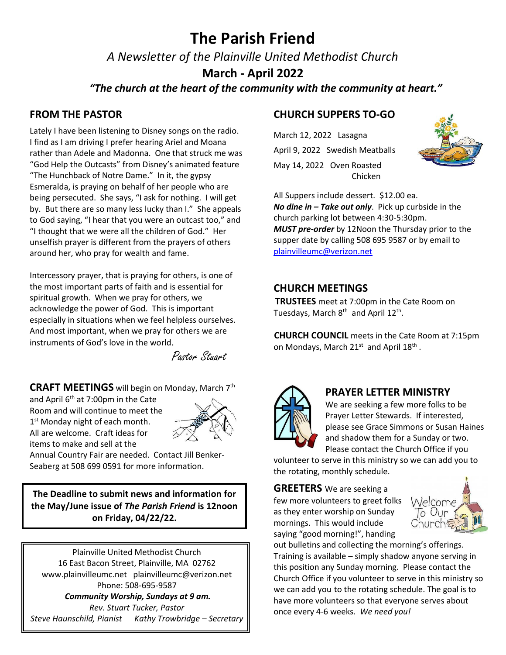# **The Parish Friend**

*A Newsletter of the Plainville United Methodist Church*

**March - April 2022**

 *"The church at the heart of the community with the community at heart."*

# **FROM THE PASTOR**

Lately I have been listening to Disney songs on the radio. I find as I am driving I prefer hearing Ariel and Moana rather than Adele and Madonna. One that struck me was "God Help the Outcasts" from Disney's animated feature "The Hunchback of Notre Dame." In it, the gypsy Esmeralda, is praying on behalf of her people who are being persecuted. She says, "I ask for nothing. I will get by. But there are so many less lucky than I." She appeals to God saying, "I hear that you were an outcast too," and "I thought that we were all the children of God." Her unselfish prayer is different from the prayers of others around her, who pray for wealth and fame.

Intercessory prayer, that is praying for others, is one of the most important parts of faith and is essential for spiritual growth. When we pray for others, we acknowledge the power of God. This is important especially in situations when we feel helpless ourselves. And most important, when we pray for others we are instruments of God's love in the world.

Pastor Stuart

**CRAFT MEETINGS** will begin on Monday, March 7th

and April  $6<sup>th</sup>$  at 7:00pm in the Cate Room and will continue to meet the 1<sup>st</sup> Monday night of each month. All are welcome. Craft ideas for items to make and sell at the



Annual Country Fair are needed. Contact Jill Benker-Seaberg at 508 699 0591 for more information.

**The Deadline to submit news and information for the May/June issue of** *The Parish Friend* **is 12noon on Friday, 04/22/22.**

Plainville United Methodist Church 16 East Bacon Street, Plainville, MA 02762 [www.plainvilleumc.net](http://www.plainvilleumc.net/) [plainvilleumc@verizon.net](mailto:plainvilleumc@verizon.net) Phone: 508-695-9587 *Community Worship, Sundays at 9 am.*

*Rev. Stuart Tucker, Pastor Steve Haunschild, Pianist Kathy Trowbridge – Secretary*

# **CHURCH SUPPERS TO-GO**

March 12, 2022 Lasagna April 9, 2022 Swedish Meatballs May 14, 2022 Oven Roasted Chicken



All Suppers include dessert. \$12.00 ea. *No dine in – Take out only*. Pick up curbside in the church parking lot between 4:30-5:30pm. *MUST pre-order* by 12Noon the Thursday prior to the supper date by calling 508 695 9587 or by email to [plainvilleumc@verizon.net](mailto:plainvilleumc@verizon.net)

### **CHURCH MEETINGS**

 **TRUSTEES** meet at 7:00pm in the Cate Room on Tuesdays, March 8<sup>th</sup> and April 12<sup>th</sup>.

 **CHURCH COUNCIL** meets in the Cate Room at 7:15pm on Mondays, March 21st and April 18<sup>th</sup>.



### **PRAYER LETTER MINISTRY**

We are seeking a few more folks to be Prayer Letter Stewards. If interested, please see Grace Simmons or Susan Haines and shadow them for a Sunday or two. Please contact the Church Office if you

volunteer to serve in this ministry so we can add you to the rotating, monthly schedule.

**GREETERS** We are seeking a few more volunteers to greet folks as they enter worship on Sunday mornings. This would include saying "good morning!", handing



out bulletins and collecting the morning's offerings. Training is available – simply shadow anyone serving in this position any Sunday morning. Please contact the Church Office if you volunteer to serve in this ministry so we can add you to the rotating schedule. The goal is to have more volunteers so that everyone serves about once every 4-6 weeks. *We need you!*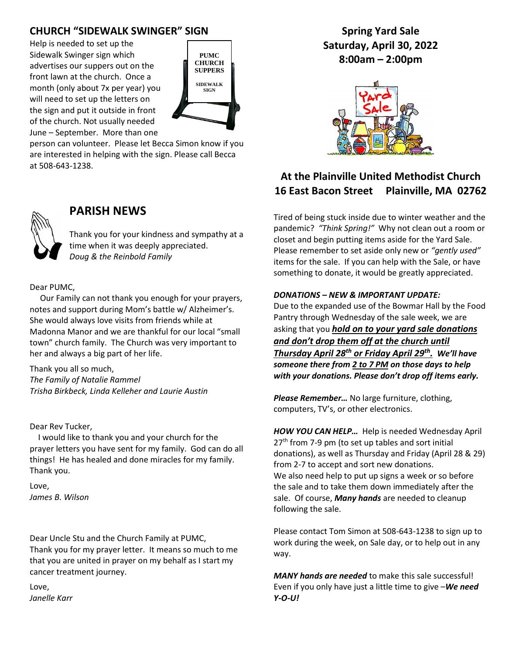# **CHURCH "SIDEWALK SWINGER" SIGN**

Help is needed to set up the Sidewalk Swinger sign which advertises our suppers out on the front lawn at the church. Once a month (only about 7x per year) you will need to set up the letters on the sign and put it outside in front of the church. Not usually needed June – September. More than one



person can volunteer. Please let Becca Simon know if you are interested in helping with the sign. Please call Becca at 508-643-1238.



# **PARISH NEWS**

Thank you for your kindness and sympathy at a time when it was deeply appreciated. *Doug & the Reinbold Family*

#### Dear PUMC,

 Our Family can not thank you enough for your prayers, notes and support during Mom's battle w/ Alzheimer's. She would always love visits from friends while at Madonna Manor and we are thankful for our local "small town" church family. The Church was very important to her and always a big part of her life.

Thank you all so much, *The Family of Natalie Rammel Trisha Birkbeck, Linda Kelleher and Laurie Austin*

#### Dear Rev Tucker,

 I would like to thank you and your church for the prayer letters you have sent for my family. God can do all things! He has healed and done miracles for my family. Thank you.

Love, *James B. Wilson*

Dear Uncle Stu and the Church Family at PUMC, Thank you for my prayer letter. It means so much to me that you are united in prayer on my behalf as I start my cancer treatment journey.

Love, *Janelle Karr*

**Spring Yard Sale Saturday, April 30, 2022 8:00am – 2:00pm**



# **At the Plainville United Methodist Church 16 East Bacon Street Plainville, MA 02762**

Tired of being stuck inside due to winter weather and the pandemic? *"Think Spring!"* Why not clean out a room or closet and begin putting items aside for the Yard Sale. Please remember to set aside only new or *"gently used"* items for the sale. If you can help with the Sale, or have something to donate, it would be greatly appreciated.

#### *DONATIONS – NEW & IMPORTANT UPDATE:*

Due to the expanded use of the Bowmar Hall by the Food Pantry through Wednesday of the sale week, we are asking that you *hold on to your yard sale donations and don't drop them off at the church until Thursday April 28th or Friday April 29th . We'll have someone there from 2 to 7 PM on those days to help with your donations. Please don't drop off items early.*

*Please Remember…* No large furniture, clothing, computers, TV's, or other electronics.

*HOW YOU CAN HELP…* Help is needed Wednesday April  $27<sup>th</sup>$  from 7-9 pm (to set up tables and sort initial donations), as well as Thursday and Friday (April 28 & 29) from 2-7 to accept and sort new donations. We also need help to put up signs a week or so before the sale and to take them down immediately after the sale. Of course, *Many hands* are needed to cleanup following the sale.

Please contact Tom Simon at 508-643-1238 to sign up to work during the week, on Sale day, or to help out in any way.

*MANY hands are needed* to make this sale successful! Even if you only have just a little time to give –*We need Y-O-U!*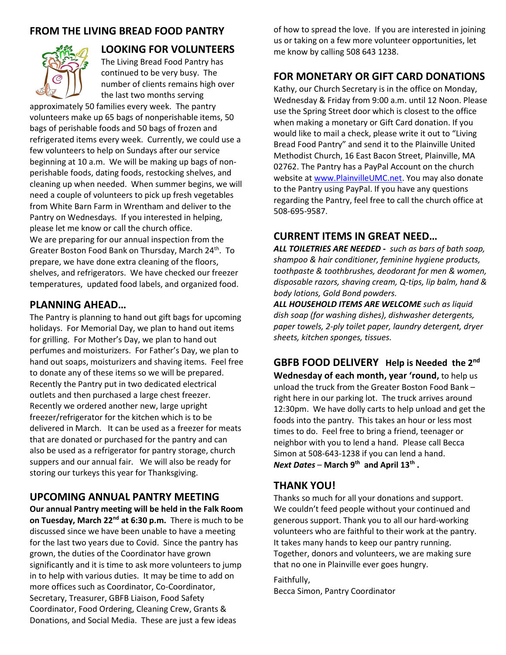## **FROM THE LIVING BREAD FOOD PANTRY**



# **LOOKING FOR VOLUNTEERS**

The Living Bread Food Pantry has continued to be very busy. The number of clients remains high over the last two months serving

approximately 50 families every week. The pantry volunteers make up 65 bags of nonperishable items, 50 bags of perishable foods and 50 bags of frozen and refrigerated items every week. Currently, we could use a few volunteers to help on Sundays after our service beginning at 10 a.m. We will be making up bags of nonperishable foods, dating foods, restocking shelves, and cleaning up when needed. When summer begins, we will need a couple of volunteers to pick up fresh vegetables from White Barn Farm in Wrentham and deliver to the Pantry on Wednesdays. If you interested in helping, please let me know or call the church office. We are preparing for our annual inspection from the Greater Boston Food Bank on Thursday, March 24<sup>th</sup>. To prepare, we have done extra cleaning of the floors, shelves, and refrigerators. We have checked our freezer temperatures, updated food labels, and organized food.

### **PLANNING AHEAD…**

The Pantry is planning to hand out gift bags for upcoming holidays. For Memorial Day, we plan to hand out items for grilling. For Mother's Day, we plan to hand out perfumes and moisturizers. For Father's Day, we plan to hand out soaps, moisturizers and shaving items. Feel free to donate any of these items so we will be prepared. Recently the Pantry put in two dedicated electrical outlets and then purchased a large chest freezer. Recently we ordered another new, large upright freezer/refrigerator for the kitchen which is to be delivered in March. It can be used as a freezer for meats that are donated or purchased for the pantry and can also be used as a refrigerator for pantry storage, church suppers and our annual fair. We will also be ready for storing our turkeys this year for Thanksgiving.

## **UPCOMING ANNUAL PANTRY MEETING**

**Our annual Pantry meeting will be held in the Falk Room on Tuesday, March 22nd at 6:30 p.m.** There is much to be discussed since we have been unable to have a meeting for the last two years due to Covid. Since the pantry has grown, the duties of the Coordinator have grown significantly and it is time to ask more volunteers to jump in to help with various duties. It may be time to add on more offices such as Coordinator, Co-Coordinator, Secretary, Treasurer, GBFB Liaison, Food Safety Coordinator, Food Ordering, Cleaning Crew, Grants & Donations, and Social Media. These are just a few ideas

of how to spread the love. If you are interested in joining us or taking on a few more volunteer opportunities, let me know by calling 508 643 1238.

### **FOR MONETARY OR GIFT CARD DONATIONS**

Kathy, our Church Secretary is in the office on Monday, Wednesday & Friday from 9:00 a.m. until 12 Noon. Please use the Spring Street door which is closest to the office when making a monetary or Gift Card donation. If you would like to mail a check, please write it out to "Living Bread Food Pantry" and send it to the Plainville United Methodist Church, 16 East Bacon Street, Plainville, MA 02762. The Pantry has a PayPal Account on the church website at [www.PlainvilleUMC.net.](http://www.plainvilleumc.net/) You may also donate to the Pantry using PayPal. If you have any questions regarding the Pantry, feel free to call the church office at 508-695-9587.

### **CURRENT ITEMS IN GREAT NEED…**

*ALL TOILETRIES ARE NEEDED - such as bars of bath soap, shampoo & hair conditioner, feminine hygiene products, toothpaste & toothbrushes, deodorant for men & women, disposable razors, shaving cream, Q-tips, lip balm, hand & body lotions, Gold Bond powders.*

*ALL HOUSEHOLD ITEMS ARE WELCOME such as liquid dish soap (for washing dishes), dishwasher detergents, paper towels, 2-ply toilet paper, laundry detergent, dryer sheets, kitchen sponges, tissues.* 

**GBFB FOOD DELIVERY Help is Needed the 2nd Wednesday of each month, year 'round,** to help us unload the truck from the Greater Boston Food Bank – right here in our parking lot. The truck arrives around 12:30pm. We have dolly carts to help unload and get the foods into the pantry. This takes an hour or less most times to do. Feel free to bring a friend, teenager or neighbor with you to lend a hand. Please call Becca Simon at 508-643-1238 if you can lend a hand. *Next Dates* – **March 9th and April 13th .**

## **THANK YOU!**

Thanks so much for all your donations and support. We couldn't feed people without your continued and generous support. Thank you to all our hard-working volunteers who are faithful to their work at the pantry. It takes many hands to keep our pantry running. Together, donors and volunteers, we are making sure that no one in Plainville ever goes hungry.

Faithfully, Becca Simon, Pantry Coordinator